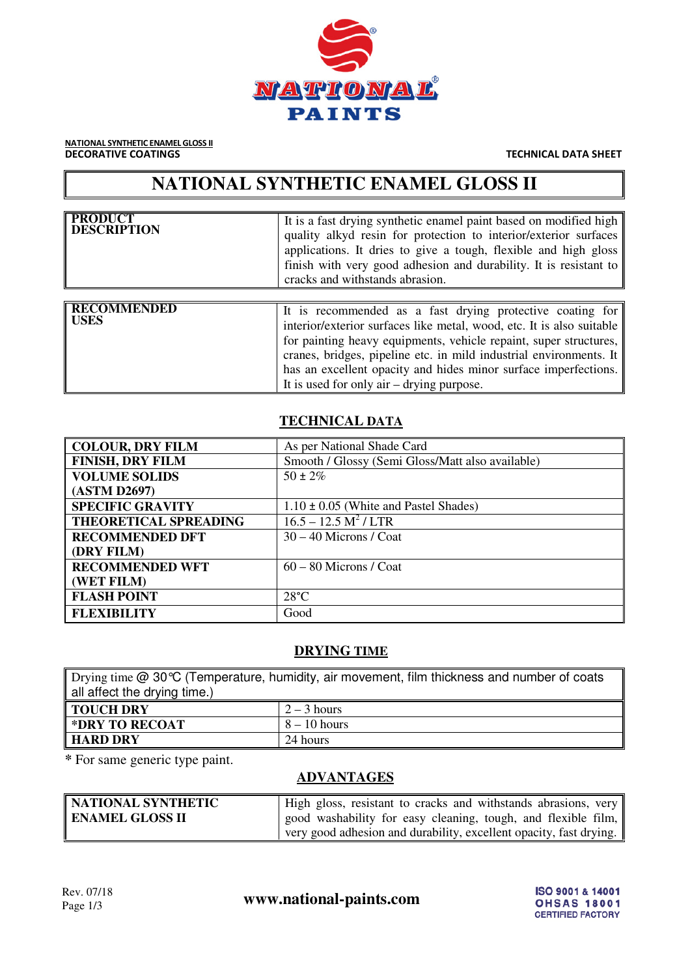

NATIONAL SYNTHETIC ENAMEL GLOSS II **DECORATIVE COATINGS** TECHNICAL DATA SHEET

# **NATIONAL SYNTHETIC ENAMEL GLOSS II**

| <b>PRODUCT</b><br><b>DESCRIPTION</b> | It is a fast drying synthetic enamel paint based on modified high<br>quality alkyd resin for protection to interior/exterior surfaces<br>applications. It dries to give a tough, flexible and high gloss<br>finish with very good adhesion and durability. It is resistant to<br>cracks and withstands abrasion. |
|--------------------------------------|------------------------------------------------------------------------------------------------------------------------------------------------------------------------------------------------------------------------------------------------------------------------------------------------------------------|
|                                      |                                                                                                                                                                                                                                                                                                                  |

| It is used for only air $-$ drying purpose. |
|---------------------------------------------|
|---------------------------------------------|

### **TECHNICAL DATA**

| <b>COLOUR, DRY FILM</b>      | As per National Shade Card                       |
|------------------------------|--------------------------------------------------|
| <b>FINISH, DRY FILM</b>      | Smooth / Glossy (Semi Gloss/Matt also available) |
| <b>VOLUME SOLIDS</b>         | $50 \pm 2\%$                                     |
| (ASTM D2697)                 |                                                  |
| <b>SPECIFIC GRAVITY</b>      | $1.10 \pm 0.05$ (White and Pastel Shades)        |
| <b>THEORETICAL SPREADING</b> | $\overline{16.5} - 12.5 M^2 / LTR$               |
| <b>RECOMMENDED DFT</b>       | $30 - 40$ Microns / Coat                         |
| (DRY FILM)                   |                                                  |
| <b>RECOMMENDED WFT</b>       | $60 - 80$ Microns / Coat                         |
| (WET FILM)                   |                                                  |
| <b>FLASH POINT</b>           | $28^{\circ}$ C                                   |
| <b>FLEXIBILITY</b>           | Good                                             |

#### **DRYING TIME**

Drying time @ 30℃ (Temperature, humidity, air movement, film thickness and number of coats all affect the drying time.) **TOUCH DRY** 2-3 hours **\*DRY TO RECOAT** 8-10 hours **HARD DRY** 24 hours

**\*** For same generic type paint.

# **ADVANTAGES**

| NATIONAL SYNTHETIC     | High gloss, resistant to cracks and withstands abrasions, very     |
|------------------------|--------------------------------------------------------------------|
| <b>ENAMEL GLOSS II</b> | good washability for easy cleaning, tough, and flexible film,      |
|                        | very good adhesion and durability, excellent opacity, fast drying. |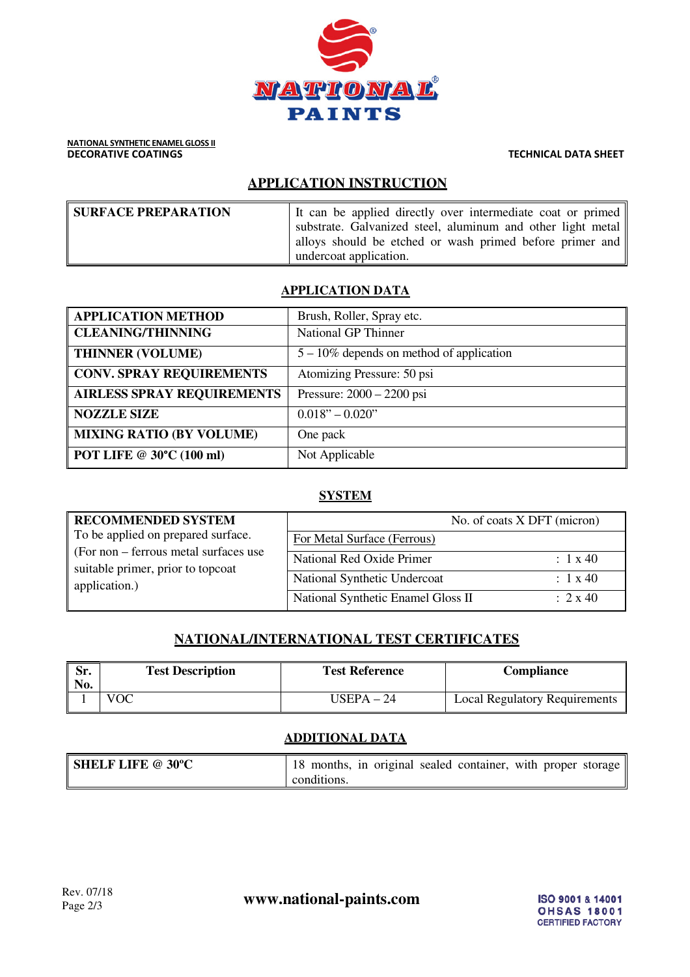

# **APPLICATION INSTRUCTION**

| <b>SURFACE PREPARATION</b> | It can be applied directly over intermediate coat or primed |
|----------------------------|-------------------------------------------------------------|
|                            | substrate. Galvanized steel, aluminum and other light metal |
|                            | alloys should be etched or wash primed before primer and    |
|                            | undercoat application.                                      |

### **APPLICATION DATA**

| <b>APPLICATION METHOD</b>         | Brush, Roller, Spray etc.                   |
|-----------------------------------|---------------------------------------------|
| <b>CLEANING/THINNING</b>          | <b>National GP Thinner</b>                  |
| <b>THINNER (VOLUME)</b>           | $5 - 10\%$ depends on method of application |
| <b>CONV. SPRAY REQUIREMENTS</b>   | Atomizing Pressure: 50 psi                  |
| <b>AIRLESS SPRAY REQUIREMENTS</b> | Pressure: $2000 - 2200$ psi                 |
| <b>NOZZLE SIZE</b>                | $0.018" - 0.020"$                           |
| <b>MIXING RATIO (BY VOLUME)</b>   | One pack                                    |
| <b>POT LIFE @ 30°C (100 ml)</b>   | Not Applicable                              |

# **SYSTEM**

| <b>RECOMMENDED SYSTEM</b>                                                                                                         |                                    | No. of coats X DFT (micron) |
|-----------------------------------------------------------------------------------------------------------------------------------|------------------------------------|-----------------------------|
| To be applied on prepared surface.<br>(For non – ferrous metal surfaces use<br>suitable primer, prior to topcoat<br>application.) | For Metal Surface (Ferrous)        |                             |
|                                                                                                                                   | National Red Oxide Primer          | $\div$ 1 x 40               |
|                                                                                                                                   | National Synthetic Undercoat       | $\div$ 1 x 40               |
|                                                                                                                                   | National Synthetic Enamel Gloss II | $\div$ 2 x 40               |

# **NATIONAL/INTERNATIONAL TEST CERTIFICATES**

| $\overline{\text{Sr}}$ .<br>No. | <b>Test Description</b> | <b>Test Reference</b> | Compliance                    |
|---------------------------------|-------------------------|-----------------------|-------------------------------|
|                                 | VOC                     | USEPA – 24            | Local Regulatory Requirements |

# **ADDITIONAL DATA**

| <b>SHELF LIFE @ 30°C</b> | 18 months, in original sealed container, with proper storage |
|--------------------------|--------------------------------------------------------------|
|                          | conditions.                                                  |